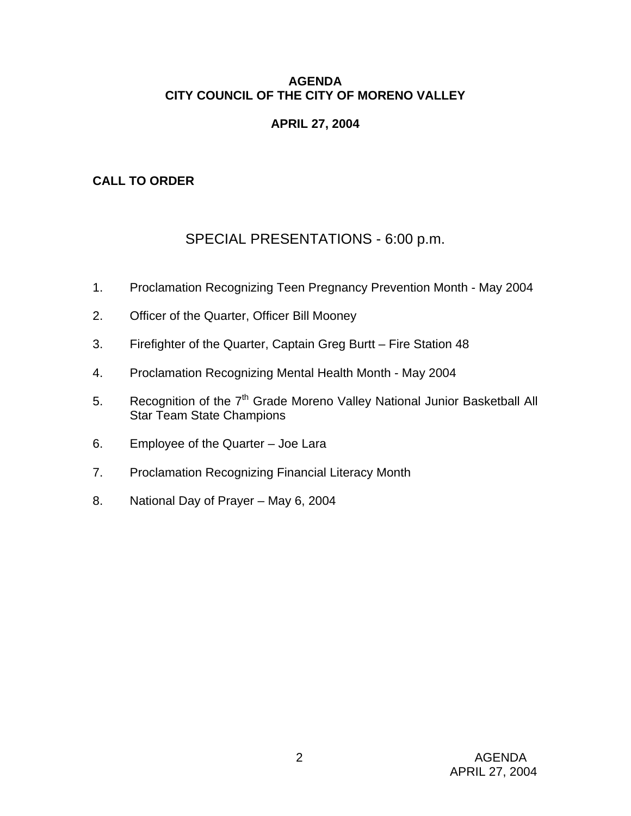### **AGENDA CITY COUNCIL OF THE CITY OF MORENO VALLEY**

# **APRIL 27, 2004**

# **CALL TO ORDER**

# SPECIAL PRESENTATIONS - 6:00 p.m.

- 1. Proclamation Recognizing Teen Pregnancy Prevention Month May 2004
- 2. Officer of the Quarter, Officer Bill Mooney
- 3. Firefighter of the Quarter, Captain Greg Burtt Fire Station 48
- 4. Proclamation Recognizing Mental Health Month May 2004
- 5. Recognition of the 7<sup>th</sup> Grade Moreno Valley National Junior Basketball All Star Team State Champions
- 6. Employee of the Quarter Joe Lara
- 7. Proclamation Recognizing Financial Literacy Month
- 8. National Day of Prayer May 6, 2004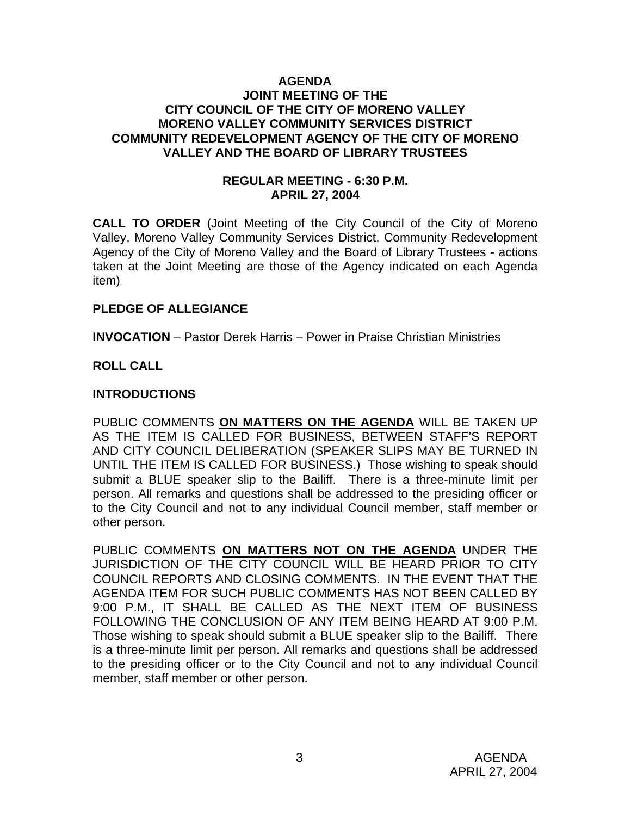#### **AGENDA JOINT MEETING OF THE CITY COUNCIL OF THE CITY OF MORENO VALLEY MORENO VALLEY COMMUNITY SERVICES DISTRICT COMMUNITY REDEVELOPMENT AGENCY OF THE CITY OF MORENO VALLEY AND THE BOARD OF LIBRARY TRUSTEES**

### **REGULAR MEETING - 6:30 P.M. APRIL 27, 2004**

**CALL TO ORDER** (Joint Meeting of the City Council of the City of Moreno Valley, Moreno Valley Community Services District, Community Redevelopment Agency of the City of Moreno Valley and the Board of Library Trustees - actions taken at the Joint Meeting are those of the Agency indicated on each Agenda item)

### **PLEDGE OF ALLEGIANCE**

**INVOCATION** – Pastor Derek Harris – Power in Praise Christian Ministries

# **ROLL CALL**

### **INTRODUCTIONS**

PUBLIC COMMENTS **ON MATTERS ON THE AGENDA** WILL BE TAKEN UP AS THE ITEM IS CALLED FOR BUSINESS, BETWEEN STAFF'S REPORT AND CITY COUNCIL DELIBERATION (SPEAKER SLIPS MAY BE TURNED IN UNTIL THE ITEM IS CALLED FOR BUSINESS.) Those wishing to speak should submit a BLUE speaker slip to the Bailiff. There is a three-minute limit per person. All remarks and questions shall be addressed to the presiding officer or to the City Council and not to any individual Council member, staff member or other person.

PUBLIC COMMENTS **ON MATTERS NOT ON THE AGENDA** UNDER THE JURISDICTION OF THE CITY COUNCIL WILL BE HEARD PRIOR TO CITY COUNCIL REPORTS AND CLOSING COMMENTS. IN THE EVENT THAT THE AGENDA ITEM FOR SUCH PUBLIC COMMENTS HAS NOT BEEN CALLED BY 9:00 P.M., IT SHALL BE CALLED AS THE NEXT ITEM OF BUSINESS FOLLOWING THE CONCLUSION OF ANY ITEM BEING HEARD AT 9:00 P.M. Those wishing to speak should submit a BLUE speaker slip to the Bailiff. There is a three-minute limit per person. All remarks and questions shall be addressed to the presiding officer or to the City Council and not to any individual Council member, staff member or other person.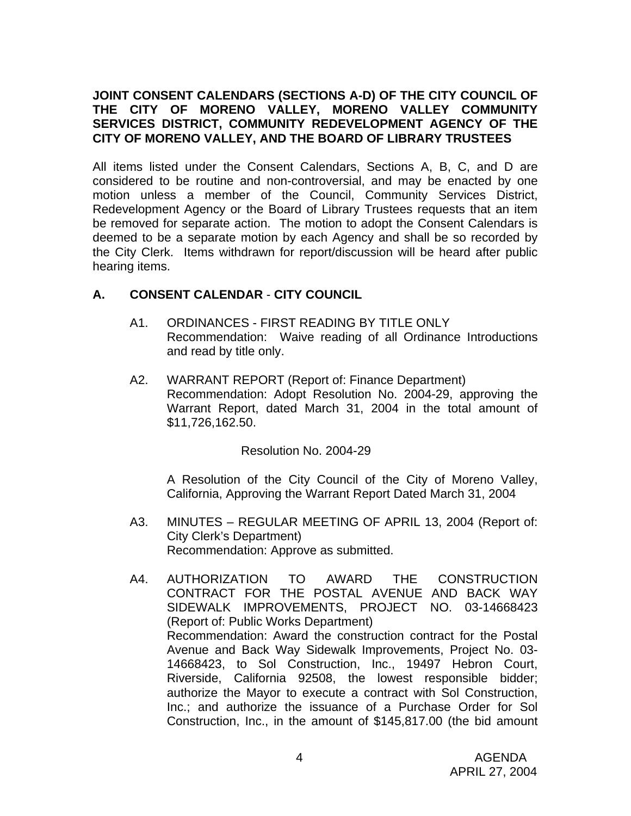### **JOINT CONSENT CALENDARS (SECTIONS A-D) OF THE CITY COUNCIL OF THE CITY OF MORENO VALLEY, MORENO VALLEY COMMUNITY SERVICES DISTRICT, COMMUNITY REDEVELOPMENT AGENCY OF THE CITY OF MORENO VALLEY, AND THE BOARD OF LIBRARY TRUSTEES**

All items listed under the Consent Calendars, Sections A, B, C, and D are considered to be routine and non-controversial, and may be enacted by one motion unless a member of the Council, Community Services District, Redevelopment Agency or the Board of Library Trustees requests that an item be removed for separate action. The motion to adopt the Consent Calendars is deemed to be a separate motion by each Agency and shall be so recorded by the City Clerk. Items withdrawn for report/discussion will be heard after public hearing items.

# **A. CONSENT CALENDAR** - **CITY COUNCIL**

- A1. ORDINANCES FIRST READING BY TITLE ONLY Recommendation: Waive reading of all Ordinance Introductions and read by title only.
- A2. WARRANT REPORT (Report of: Finance Department) Recommendation: Adopt Resolution No. 2004-29, approving the Warrant Report, dated March 31, 2004 in the total amount of \$11,726,162.50.

### Resolution No. 2004-29

A Resolution of the City Council of the City of Moreno Valley, California, Approving the Warrant Report Dated March 31, 2004

- A3. MINUTES REGULAR MEETING OF APRIL 13, 2004 (Report of: City Clerk's Department) Recommendation: Approve as submitted.
- A4. AUTHORIZATION TO AWARD THE CONSTRUCTION CONTRACT FOR THE POSTAL AVENUE AND BACK WAY SIDEWALK IMPROVEMENTS, PROJECT NO. 03-14668423 (Report of: Public Works Department) Recommendation: Award the construction contract for the Postal Avenue and Back Way Sidewalk Improvements, Project No. 03- 14668423, to Sol Construction, Inc., 19497 Hebron Court, Riverside, California 92508, the lowest responsible bidder; authorize the Mayor to execute a contract with Sol Construction, Inc.; and authorize the issuance of a Purchase Order for Sol Construction, Inc., in the amount of \$145,817.00 (the bid amount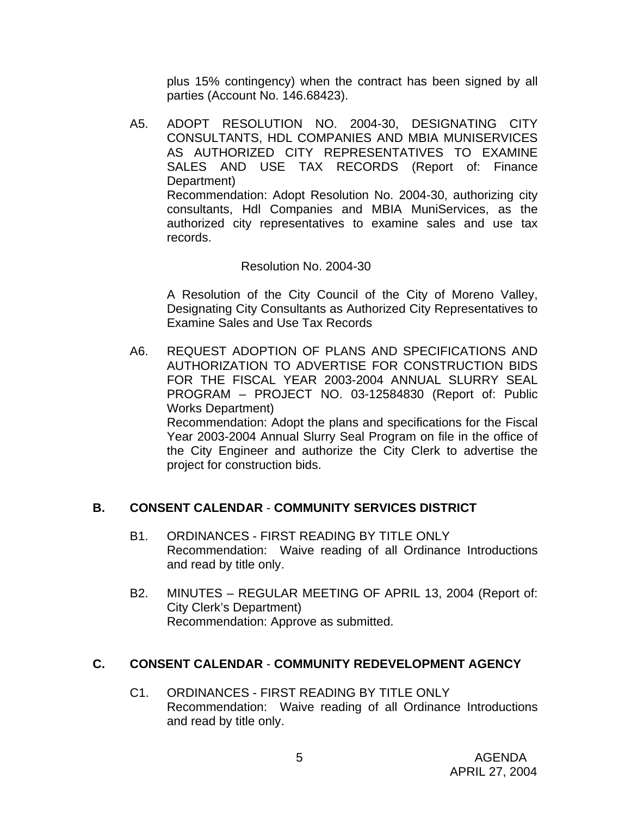plus 15% contingency) when the contract has been signed by all parties (Account No. 146.68423).

A5. ADOPT RESOLUTION NO. 2004-30, DESIGNATING CITY CONSULTANTS, HDL COMPANIES AND MBIA MUNISERVICES AS AUTHORIZED CITY REPRESENTATIVES TO EXAMINE SALES AND USE TAX RECORDS (Report of: Finance Department) Recommendation: Adopt Resolution No. 2004-30, authorizing city consultants, Hdl Companies and MBIA MuniServices, as the authorized city representatives to examine sales and use tax records.

### Resolution No. 2004-30

A Resolution of the City Council of the City of Moreno Valley, Designating City Consultants as Authorized City Representatives to Examine Sales and Use Tax Records

A6. REQUEST ADOPTION OF PLANS AND SPECIFICATIONS AND AUTHORIZATION TO ADVERTISE FOR CONSTRUCTION BIDS FOR THE FISCAL YEAR 2003-2004 ANNUAL SLURRY SEAL PROGRAM – PROJECT NO. 03-12584830 (Report of: Public Works Department)

 Recommendation: Adopt the plans and specifications for the Fiscal Year 2003-2004 Annual Slurry Seal Program on file in the office of the City Engineer and authorize the City Clerk to advertise the project for construction bids.

### **B. CONSENT CALENDAR** - **COMMUNITY SERVICES DISTRICT**

- B1. ORDINANCES FIRST READING BY TITLE ONLY Recommendation: Waive reading of all Ordinance Introductions and read by title only.
- B2. MINUTES REGULAR MEETING OF APRIL 13, 2004 (Report of: City Clerk's Department) Recommendation: Approve as submitted.

### **C. CONSENT CALENDAR** - **COMMUNITY REDEVELOPMENT AGENCY**

C1. ORDINANCES - FIRST READING BY TITLE ONLY Recommendation: Waive reading of all Ordinance Introductions and read by title only.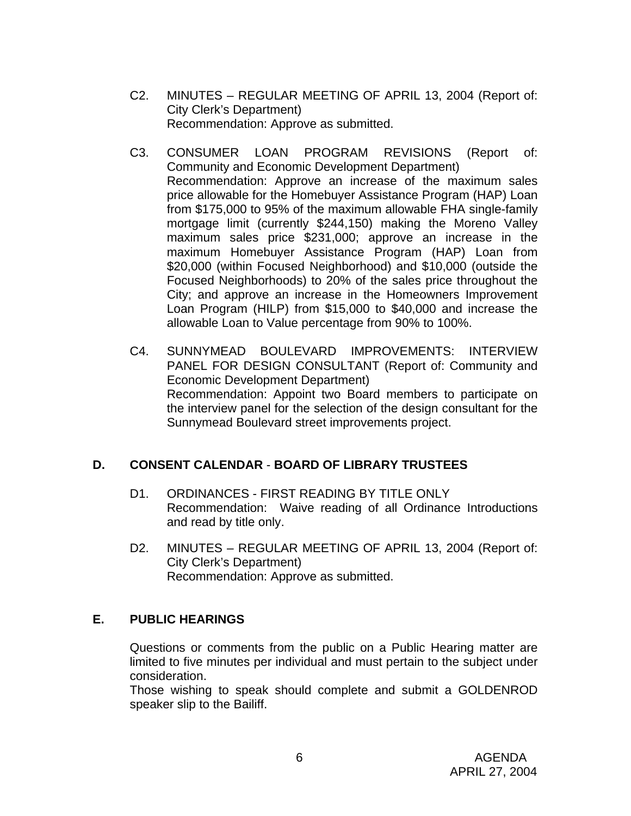- C2. MINUTES REGULAR MEETING OF APRIL 13, 2004 (Report of: City Clerk's Department) Recommendation: Approve as submitted.
- C3. CONSUMER LOAN PROGRAM REVISIONS (Report of: Community and Economic Development Department) Recommendation: Approve an increase of the maximum sales price allowable for the Homebuyer Assistance Program (HAP) Loan from \$175,000 to 95% of the maximum allowable FHA single-family mortgage limit (currently \$244,150) making the Moreno Valley maximum sales price \$231,000; approve an increase in the maximum Homebuyer Assistance Program (HAP) Loan from \$20,000 (within Focused Neighborhood) and \$10,000 (outside the Focused Neighborhoods) to 20% of the sales price throughout the City; and approve an increase in the Homeowners Improvement Loan Program (HILP) from \$15,000 to \$40,000 and increase the allowable Loan to Value percentage from 90% to 100%.
- C4. SUNNYMEAD BOULEVARD IMPROVEMENTS: INTERVIEW PANEL FOR DESIGN CONSULTANT (Report of: Community and Economic Development Department) Recommendation: Appoint two Board members to participate on the interview panel for the selection of the design consultant for the Sunnymead Boulevard street improvements project.

# **D. CONSENT CALENDAR** - **BOARD OF LIBRARY TRUSTEES**

- D1. ORDINANCES FIRST READING BY TITLE ONLY Recommendation: Waive reading of all Ordinance Introductions and read by title only.
- D2. MINUTES REGULAR MEETING OF APRIL 13, 2004 (Report of: City Clerk's Department) Recommendation: Approve as submitted.

# **E. PUBLIC HEARINGS**

Questions or comments from the public on a Public Hearing matter are limited to five minutes per individual and must pertain to the subject under consideration.

 Those wishing to speak should complete and submit a GOLDENROD speaker slip to the Bailiff.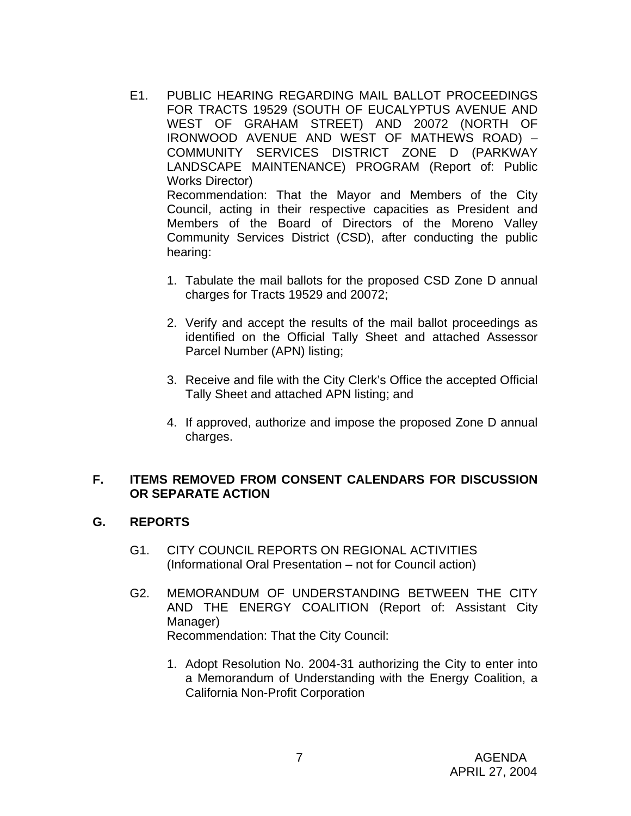- E1. PUBLIC HEARING REGARDING MAIL BALLOT PROCEEDINGS FOR TRACTS 19529 (SOUTH OF EUCALYPTUS AVENUE AND WEST OF GRAHAM STREET) AND 20072 (NORTH OF IRONWOOD AVENUE AND WEST OF MATHEWS ROAD) – COMMUNITY SERVICES DISTRICT ZONE D (PARKWAY LANDSCAPE MAINTENANCE) PROGRAM (Report of: Public Works Director) Recommendation: That the Mayor and Members of the City Council, acting in their respective capacities as President and Members of the Board of Directors of the Moreno Valley Community Services District (CSD), after conducting the public hearing:
	- 1. Tabulate the mail ballots for the proposed CSD Zone D annual charges for Tracts 19529 and 20072;
	- 2. Verify and accept the results of the mail ballot proceedings as identified on the Official Tally Sheet and attached Assessor Parcel Number (APN) listing;
	- 3. Receive and file with the City Clerk's Office the accepted Official Tally Sheet and attached APN listing; and
	- 4. If approved, authorize and impose the proposed Zone D annual charges.

### **F. ITEMS REMOVED FROM CONSENT CALENDARS FOR DISCUSSION OR SEPARATE ACTION**

### **G. REPORTS**

- G1. CITY COUNCIL REPORTS ON REGIONAL ACTIVITIES (Informational Oral Presentation – not for Council action)
- G2. MEMORANDUM OF UNDERSTANDING BETWEEN THE CITY AND THE ENERGY COALITION (Report of: Assistant City Manager) Recommendation: That the City Council:
	- 1. Adopt Resolution No. 2004-31 authorizing the City to enter into a Memorandum of Understanding with the Energy Coalition, a California Non-Profit Corporation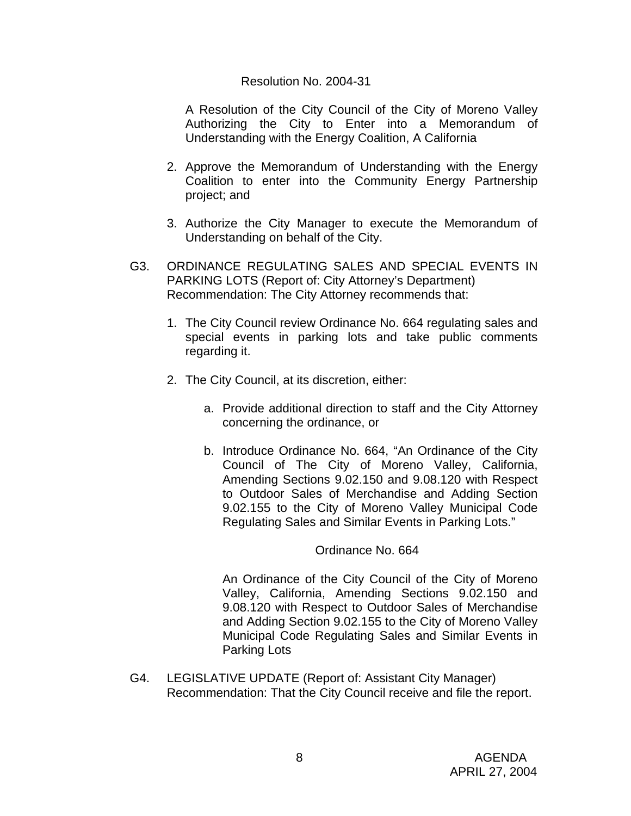#### Resolution No. 2004-31

 A Resolution of the City Council of the City of Moreno Valley Authorizing the City to Enter into a Memorandum of Understanding with the Energy Coalition, A California

- 2. Approve the Memorandum of Understanding with the Energy Coalition to enter into the Community Energy Partnership project; and
- 3. Authorize the City Manager to execute the Memorandum of Understanding on behalf of the City.
- G3. ORDINANCE REGULATING SALES AND SPECIAL EVENTS IN PARKING LOTS (Report of: City Attorney's Department) Recommendation: The City Attorney recommends that:
	- 1. The City Council review Ordinance No. 664 regulating sales and special events in parking lots and take public comments regarding it.
	- 2. The City Council, at its discretion, either:
		- a. Provide additional direction to staff and the City Attorney concerning the ordinance, or
		- b. Introduce Ordinance No. 664, "An Ordinance of the City Council of The City of Moreno Valley, California, Amending Sections 9.02.150 and 9.08.120 with Respect to Outdoor Sales of Merchandise and Adding Section 9.02.155 to the City of Moreno Valley Municipal Code Regulating Sales and Similar Events in Parking Lots."

### Ordinance No. 664

An Ordinance of the City Council of the City of Moreno Valley, California, Amending Sections 9.02.150 and 9.08.120 with Respect to Outdoor Sales of Merchandise and Adding Section 9.02.155 to the City of Moreno Valley Municipal Code Regulating Sales and Similar Events in Parking Lots

G4. LEGISLATIVE UPDATE (Report of: Assistant City Manager) Recommendation: That the City Council receive and file the report.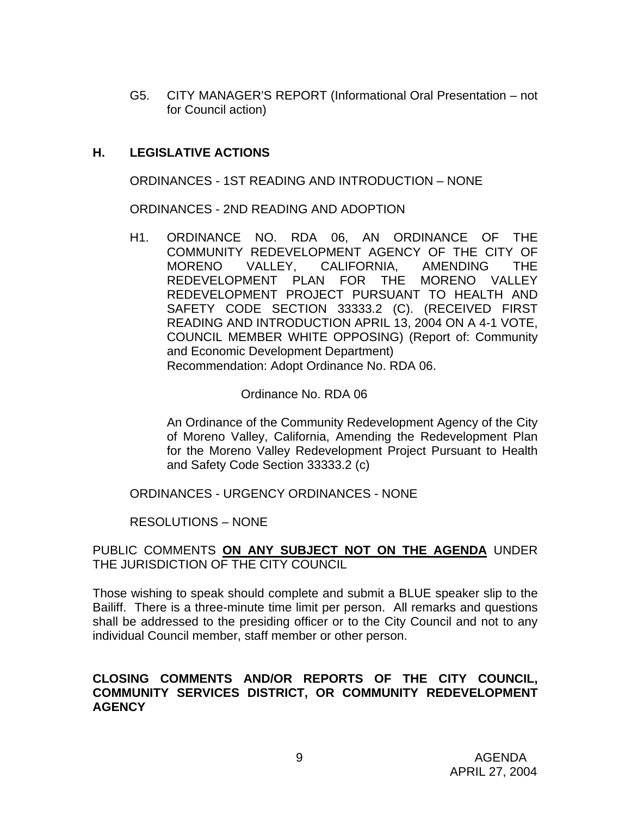G5. CITY MANAGER'S REPORT (Informational Oral Presentation – not for Council action)

# **H. LEGISLATIVE ACTIONS**

ORDINANCES - 1ST READING AND INTRODUCTION – NONE

ORDINANCES - 2ND READING AND ADOPTION

H1. ORDINANCE NO. RDA 06, AN ORDINANCE OF THE COMMUNITY REDEVELOPMENT AGENCY OF THE CITY OF MORENO VALLEY, CALIFORNIA, AMENDING THE REDEVELOPMENT PLAN FOR THE MORENO VALLEY REDEVELOPMENT PROJECT PURSUANT TO HEALTH AND SAFETY CODE SECTION 33333.2 (C). (RECEIVED FIRST READING AND INTRODUCTION APRIL 13, 2004 ON A 4-1 VOTE, COUNCIL MEMBER WHITE OPPOSING) (Report of: Community and Economic Development Department) Recommendation: Adopt Ordinance No. RDA 06.

### Ordinance No. RDA 06

An Ordinance of the Community Redevelopment Agency of the City of Moreno Valley, California, Amending the Redevelopment Plan for the Moreno Valley Redevelopment Project Pursuant to Health and Safety Code Section 33333.2 (c)

ORDINANCES - URGENCY ORDINANCES - NONE

RESOLUTIONS – NONE

### PUBLIC COMMENTS **ON ANY SUBJECT NOT ON THE AGENDA** UNDER THE JURISDICTION OF THE CITY COUNCIL

Those wishing to speak should complete and submit a BLUE speaker slip to the Bailiff. There is a three-minute time limit per person. All remarks and questions shall be addressed to the presiding officer or to the City Council and not to any individual Council member, staff member or other person.

### **CLOSING COMMENTS AND/OR REPORTS OF THE CITY COUNCIL, COMMUNITY SERVICES DISTRICT, OR COMMUNITY REDEVELOPMENT AGENCY**